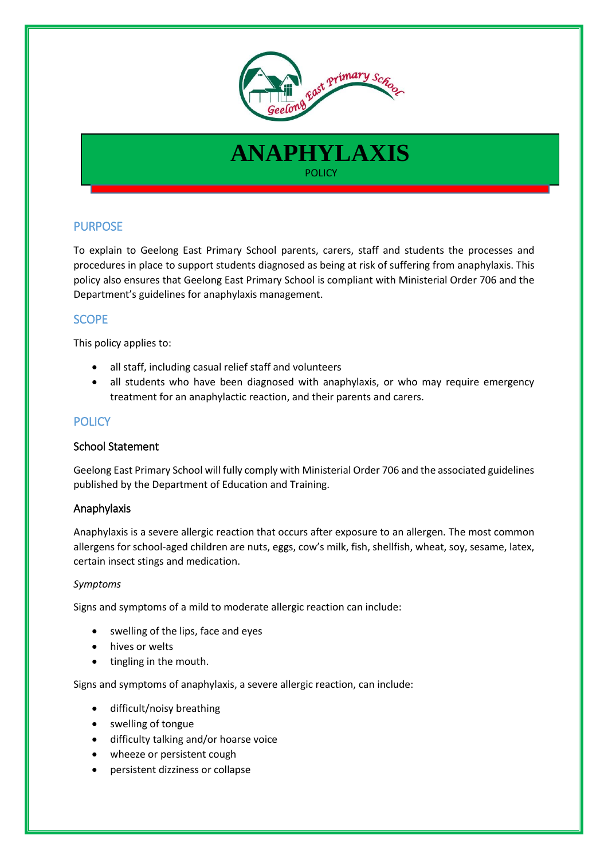

# **ANAPHYLAXIS POLICY** (2008) The Contract of the Contract of the POLICY

## PURPOSE

To explain to Geelong East Primary School parents, carers, staff and students the processes and procedures in place to support students diagnosed as being at risk of suffering from anaphylaxis. This policy also ensures that Geelong East Primary School is compliant with Ministerial Order 706 and the Department's guidelines for anaphylaxis management.

## SCOPE

This policy applies to:

- all staff, including casual relief staff and volunteers
- all students who have been diagnosed with anaphylaxis, or who may require emergency treatment for an anaphylactic reaction, and their parents and carers.

## **POLICY**

## School Statement

Geelong East Primary School will fully comply with Ministerial Order 706 and the associated guidelines published by the Department of Education and Training.

## Anaphylaxis

Anaphylaxis is a severe allergic reaction that occurs after exposure to an allergen. The most common allergens for school-aged children are nuts, eggs, cow's milk, fish, shellfish, wheat, soy, sesame, latex, certain insect stings and medication.

#### *Symptoms*

Signs and symptoms of a mild to moderate allergic reaction can include:

- swelling of the lips, face and eyes
- hives or welts
- tingling in the mouth.

Signs and symptoms of anaphylaxis, a severe allergic reaction, can include:

- difficult/noisy breathing
- swelling of tongue
- difficulty talking and/or hoarse voice
- wheeze or persistent cough
- persistent dizziness or collapse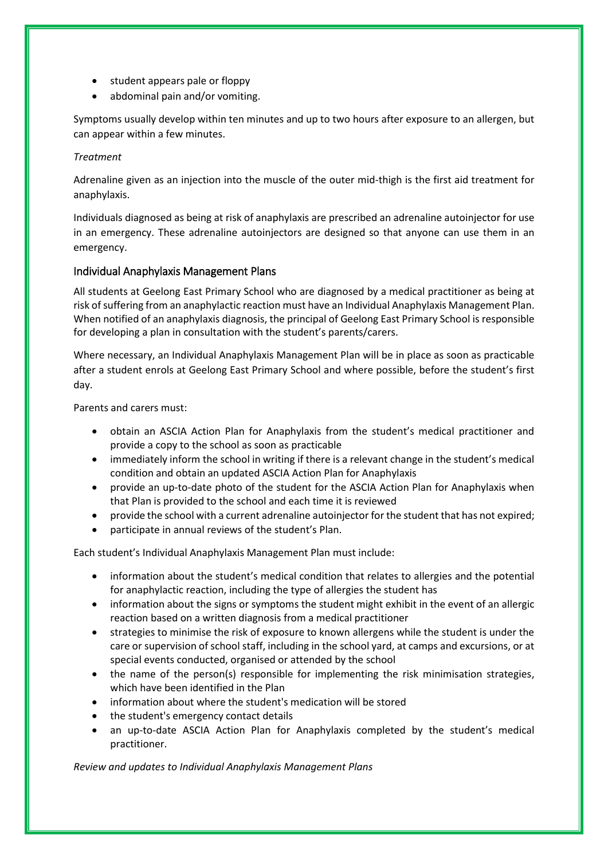- student appears pale or floppy
- abdominal pain and/or vomiting.

Symptoms usually develop within ten minutes and up to two hours after exposure to an allergen, but can appear within a few minutes.

#### *Treatment*

Adrenaline given as an injection into the muscle of the outer mid-thigh is the first aid treatment for anaphylaxis.

Individuals diagnosed as being at risk of anaphylaxis are prescribed an adrenaline autoinjector for use in an emergency. These adrenaline autoinjectors are designed so that anyone can use them in an emergency.

## Individual Anaphylaxis Management Plans

All students at Geelong East Primary School who are diagnosed by a medical practitioner as being at risk of suffering from an anaphylactic reaction must have an Individual Anaphylaxis Management Plan. When notified of an anaphylaxis diagnosis, the principal of Geelong East Primary School is responsible for developing a plan in consultation with the student's parents/carers.

Where necessary, an Individual Anaphylaxis Management Plan will be in place as soon as practicable after a student enrols at Geelong East Primary School and where possible, before the student's first day.

Parents and carers must:

- obtain an ASCIA Action Plan for Anaphylaxis from the student's medical practitioner and provide a copy to the school as soon as practicable
- immediately inform the school in writing if there is a relevant change in the student's medical condition and obtain an updated ASCIA Action Plan for Anaphylaxis
- provide an up-to-date photo of the student for the ASCIA Action Plan for Anaphylaxis when that Plan is provided to the school and each time it is reviewed
- provide the school with a current adrenaline autoinjector for the student that has not expired;
- participate in annual reviews of the student's Plan.

Each student's Individual Anaphylaxis Management Plan must include:

- information about the student's medical condition that relates to allergies and the potential for anaphylactic reaction, including the type of allergies the student has
- information about the signs or symptoms the student might exhibit in the event of an allergic reaction based on a written diagnosis from a medical practitioner
- strategies to minimise the risk of exposure to known allergens while the student is under the care or supervision of school staff, including in the school yard, at camps and excursions, or at special events conducted, organised or attended by the school
- the name of the person(s) responsible for implementing the risk minimisation strategies, which have been identified in the Plan
- information about where the student's medication will be stored
- the student's emergency contact details
- an up-to-date ASCIA Action Plan for Anaphylaxis completed by the student's medical practitioner.

*Review and updates to Individual Anaphylaxis Management Plans*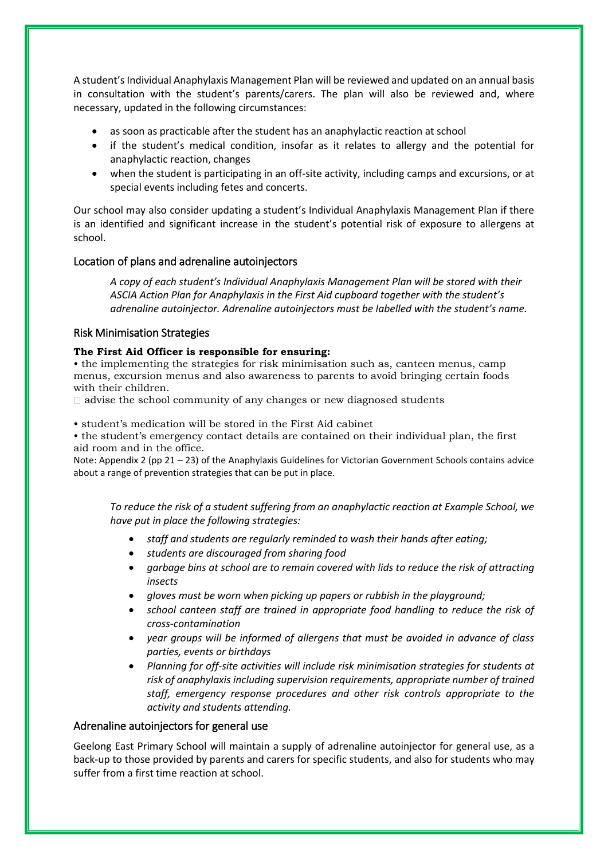A student's Individual Anaphylaxis Management Plan will be reviewed and updated on an annual basis in consultation with the student's parents/carers. The plan will also be reviewed and, where necessary, updated in the following circumstances:

- as soon as practicable after the student has an anaphylactic reaction at school
- if the student's medical condition, insofar as it relates to allergy and the potential for anaphylactic reaction, changes
- when the student is participating in an off-site activity, including camps and excursions, or at special events including fetes and concerts.

Our school may also consider updating a student's Individual Anaphylaxis Management Plan if there is an identified and significant increase in the student's potential risk of exposure to allergens at school.

#### Location of plans and adrenaline autoinjectors

*A copy of each student's Individual Anaphylaxis Management Plan will be stored with their ASCIA Action Plan for Anaphylaxis in the First Aid cupboard together with the student's adrenaline autoinjector. Adrenaline autoinjectors must be labelled with the student's name.*

#### Risk Minimisation Strategies

#### **The First Aid Officer is responsible for ensuring:**

• the implementing the strategies for risk minimisation such as, canteen menus, camp menus, excursion menus and also awareness to parents to avoid bringing certain foods with their children.

 $\Box$  advise the school community of any changes or new diagnosed students

• student's medication will be stored in the First Aid cabinet

• the student's emergency contact details are contained on their individual plan, the first aid room and in the office.

Note: Appendix 2 (pp 21 – 23) of the Anaphylaxis Guidelines for Victorian Government Schools contains advice about a range of prevention strategies that can be put in place.

*To reduce the risk of a student suffering from an anaphylactic reaction at Example School, we have put in place the following strategies:*

- *staff and students are regularly reminded to wash their hands after eating;*
- *students are discouraged from sharing food*
- *garbage bins at school are to remain covered with lids to reduce the risk of attracting insects*
- *gloves must be worn when picking up papers or rubbish in the playground;*
- *school canteen staff are trained in appropriate food handling to reduce the risk of cross-contamination*
- *year groups will be informed of allergens that must be avoided in advance of class parties, events or birthdays*
- *Planning for off-site activities will include risk minimisation strategies for students at risk of anaphylaxis including supervision requirements, appropriate number of trained staff, emergency response procedures and other risk controls appropriate to the activity and students attending.*

#### Adrenaline autoinjectors for general use

Geelong East Primary School will maintain a supply of adrenaline autoinjector for general use, as a back-up to those provided by parents and carers for specific students, and also for students who may suffer from a first time reaction at school.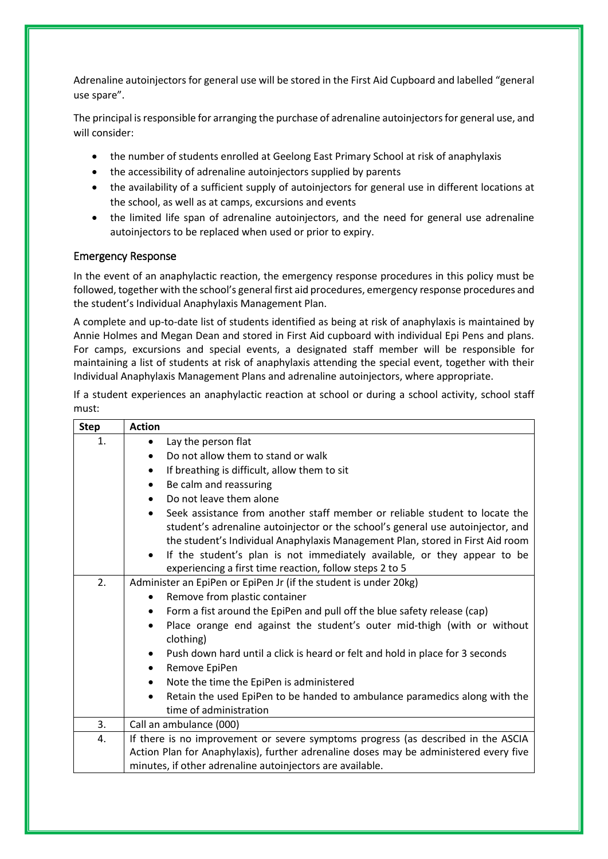Adrenaline autoinjectors for general use will be stored in the First Aid Cupboard and labelled "general use spare".

The principal is responsible for arranging the purchase of adrenaline autoinjectors for general use, and will consider:

- the number of students enrolled at Geelong East Primary School at risk of anaphylaxis
- the accessibility of adrenaline autoinjectors supplied by parents
- the availability of a sufficient supply of autoinjectors for general use in different locations at the school, as well as at camps, excursions and events
- the limited life span of adrenaline autoinjectors, and the need for general use adrenaline autoinjectors to be replaced when used or prior to expiry.

#### Emergency Response

In the event of an anaphylactic reaction, the emergency response procedures in this policy must be followed, together with the school's general first aid procedures, emergency response procedures and the student's Individual Anaphylaxis Management Plan.

A complete and up-to-date list of students identified as being at risk of anaphylaxis is maintained by Annie Holmes and Megan Dean and stored in First Aid cupboard with individual Epi Pens and plans. For camps, excursions and special events, a designated staff member will be responsible for maintaining a list of students at risk of anaphylaxis attending the special event, together with their Individual Anaphylaxis Management Plans and adrenaline autoinjectors, where appropriate.

If a student experiences an anaphylactic reaction at school or during a school activity, school staff must:

| <b>Step</b> | <b>Action</b>                                                                                                                                                                                                                                                 |
|-------------|---------------------------------------------------------------------------------------------------------------------------------------------------------------------------------------------------------------------------------------------------------------|
| 1.          | Lay the person flat<br>$\bullet$                                                                                                                                                                                                                              |
|             | Do not allow them to stand or walk                                                                                                                                                                                                                            |
|             | If breathing is difficult, allow them to sit<br>$\bullet$                                                                                                                                                                                                     |
|             | Be calm and reassuring<br>$\bullet$                                                                                                                                                                                                                           |
|             | Do not leave them alone<br>$\bullet$                                                                                                                                                                                                                          |
|             | Seek assistance from another staff member or reliable student to locate the<br>$\bullet$<br>student's adrenaline autoinjector or the school's general use autoinjector, and<br>the student's Individual Anaphylaxis Management Plan, stored in First Aid room |
|             | If the student's plan is not immediately available, or they appear to be<br>$\bullet$<br>experiencing a first time reaction, follow steps 2 to 5                                                                                                              |
| 2.          | Administer an EpiPen or EpiPen Jr (if the student is under 20kg)                                                                                                                                                                                              |
|             | Remove from plastic container<br>$\bullet$                                                                                                                                                                                                                    |
|             | Form a fist around the EpiPen and pull off the blue safety release (cap)<br>$\bullet$                                                                                                                                                                         |
|             | Place orange end against the student's outer mid-thigh (with or without<br>$\bullet$<br>clothing)                                                                                                                                                             |
|             | Push down hard until a click is heard or felt and hold in place for 3 seconds                                                                                                                                                                                 |
|             | Remove EpiPen<br>$\bullet$                                                                                                                                                                                                                                    |
|             | Note the time the EpiPen is administered                                                                                                                                                                                                                      |
|             | Retain the used EpiPen to be handed to ambulance paramedics along with the                                                                                                                                                                                    |
|             | time of administration                                                                                                                                                                                                                                        |
| 3.          | Call an ambulance (000)                                                                                                                                                                                                                                       |
| 4.          | If there is no improvement or severe symptoms progress (as described in the ASCIA<br>Action Plan for Anaphylaxis), further adrenaline doses may be administered every five<br>minutes, if other adrenaline autoinjectors are available.                       |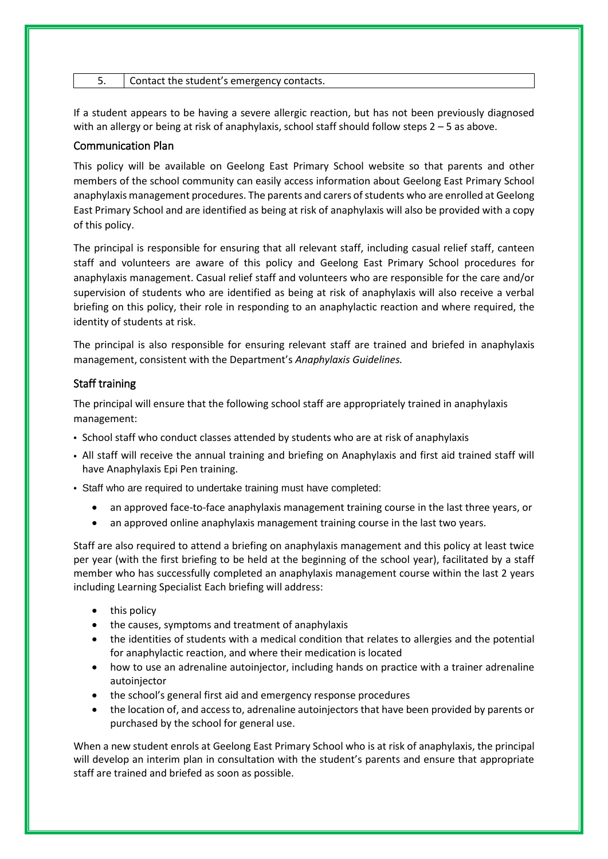| Contact the student's emergency contacts. |  |
|-------------------------------------------|--|
|-------------------------------------------|--|

If a student appears to be having a severe allergic reaction, but has not been previously diagnosed with an allergy or being at risk of anaphylaxis, school staff should follow steps 2 – 5 as above.

#### Communication Plan

This policy will be available on Geelong East Primary School website so that parents and other members of the school community can easily access information about Geelong East Primary School anaphylaxis management procedures. The parents and carers of students who are enrolled at Geelong East Primary School and are identified as being at risk of anaphylaxis will also be provided with a copy of this policy.

The principal is responsible for ensuring that all relevant staff, including casual relief staff, canteen staff and volunteers are aware of this policy and Geelong East Primary School procedures for anaphylaxis management. Casual relief staff and volunteers who are responsible for the care and/or supervision of students who are identified as being at risk of anaphylaxis will also receive a verbal briefing on this policy, their role in responding to an anaphylactic reaction and where required, the identity of students at risk.

The principal is also responsible for ensuring relevant staff are trained and briefed in anaphylaxis management, consistent with the Department's *Anaphylaxis Guidelines.*

#### Staff training

The principal will ensure that the following school staff are appropriately trained in anaphylaxis management:

- School staff who conduct classes attended by students who are at risk of anaphylaxis
- All staff will receive the annual training and briefing on Anaphylaxis and first aid trained staff will have Anaphylaxis Epi Pen training.
- Staff who are required to undertake training must have completed:
	- an approved face-to-face anaphylaxis management training course in the last three years, or
	- an approved online anaphylaxis management training course in the last two years.

Staff are also required to attend a briefing on anaphylaxis management and this policy at least twice per year (with the first briefing to be held at the beginning of the school year), facilitated by a staff member who has successfully completed an anaphylaxis management course within the last 2 years including Learning Specialist Each briefing will address:

- this policy
- the causes, symptoms and treatment of anaphylaxis
- the identities of students with a medical condition that relates to allergies and the potential for anaphylactic reaction, and where their medication is located
- how to use an adrenaline autoinjector, including hands on practice with a trainer adrenaline autoinjector
- the school's general first aid and emergency response procedures
- the location of, and access to, adrenaline autoinjectors that have been provided by parents or purchased by the school for general use.

When a new student enrols at Geelong East Primary School who is at risk of anaphylaxis, the principal will develop an interim plan in consultation with the student's parents and ensure that appropriate staff are trained and briefed as soon as possible.